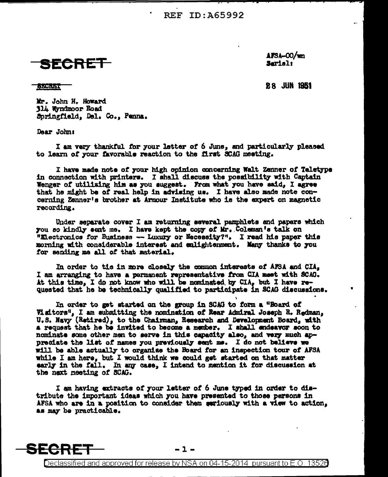**REF ID: A65992** 



 $\Delta$ FSA-00/wm Sarial:

ABCRIST

**28 JUN 1951** 

Mr. John H. Howard 314 Wyndmoor Road Springfield, Del. Co., Penna.

Dear John:

SECRET

I am very thankful for your letter of 6 June, and particularly pleased to learn of your favorable reaction to the first SCAG meeting.

I have made note of your high opinion concerning Walt Zenner of Teletype in connection with printers. I shall discuss the possibility with Captain Wenger of utilizing him as you suggest. From what you have said, I agree that he might be of real help in advising us. I have also made note concerning Zenner's brother at Armour Institute who is the expert on magnetic recording.

Under separate cover I am returning several pamphlets and papers which you so kindly sent me. I have kept the copy of Mr. Coleman's talk on "Electronics for Business - Luxury or Necessity?". I read his paper this morning with considerable interest and emlightenment. Many thanks to you for sending me all of that material.

In order to tie in more closely the common interests of AFSA and CIA, I am arranging to have a permanent representative from CIA meet with SCAG. At this time, I do not know who will be nominated by CIA, but I have requested that he be technically qualified to participate in SCAG discussions.

In order to get started on the group in SCAG to form a "Board of Visitors", I am submitting the nomination of Rear Admiral Joseph R. Redman, U.S. Navy (Retired), to the Chairman, Research and Development Board, with a request that he be invited to become a member. I shall endeavor soon to nominate some other men to serve in this capacity also, and very much appreciate the list of names you previously sent ms. I do not believe we will be able actually to organize the Board for an inspection tour of AFSA while I am here, but I would think we could get started on that matter early in the fall. In any case, I intend to mention it for discussion at the next meeting of SCAG.

I am having extracts of your letter of 6 June typed in order to distribute the important ideas which you have presented to those persons in AFSA who are in a position to consider them seriously with a view to action, as may be practicable.



Declassified and approved for release by NSA on 04-15-2014 pursuant to E.O. 13526